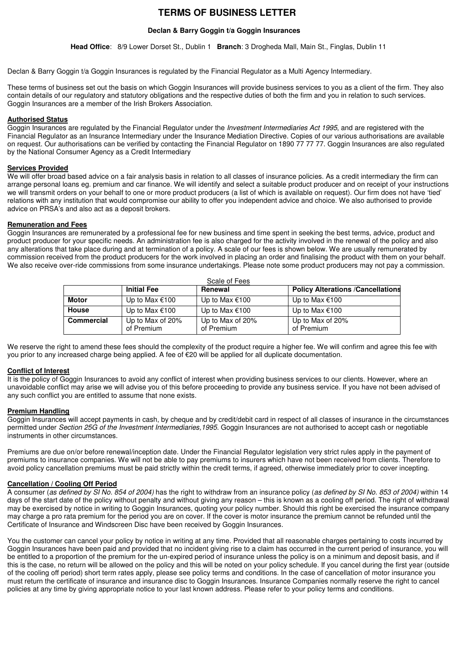# **TERMS OF BUSINESS LETTER**

# **Declan & Barry Goggin t/a Goggin Insurances**

**Head Office**: 8/9 Lower Dorset St., Dublin 1 **Branch**: 3 Drogheda Mall, Main St., Finglas, Dublin 11

Declan & Barry Goggin t/a Goggin Insurances is regulated by the Financial Regulator as a Multi Agency Intermediary.

These terms of business set out the basis on which Goggin Insurances will provide business services to you as a client of the firm. They also contain details of our regulatory and statutory obligations and the respective duties of both the firm and you in relation to such services. Goggin Insurances are a member of the Irish Brokers Association.

### **Authorised Status**

Goggin Insurances are regulated by the Financial Regulator under the Investment Intermediaries Act 1995, and are registered with the Financial Regulator as an Insurance Intermediary under the Insurance Mediation Directive. Copies of our various authorisations are available on request. Our authorisations can be verified by contacting the Financial Regulator on 1890 77 77 77. Goggin Insurances are also regulated by the National Consumer Agency as a Credit Intermediary

### **Services Provided**

We will offer broad based advice on a fair analysis basis in relation to all classes of insurance policies. As a credit intermediary the firm can arrange personal loans eg. premium and car finance. We will identify and select a suitable product producer and on receipt of your instructions we will transmit orders on your behalf to one or more product producers (a list of which is available on request). Our firm does not have 'tied' relations with any institution that would compromise our ability to offer you independent advice and choice. We also authorised to provide advice on PRSA's and also act as a deposit brokers.

### **Remuneration and Fees**

Goggin Insurances are remunerated by a professional fee for new business and time spent in seeking the best terms, advice, product and product producer for your specific needs. An administration fee is also charged for the activity involved in the renewal of the policy and also any alterations that take place during and at termination of a policy. A scale of our fees is shown below. We are usually remunerated by commission received from the product producers for the work involved in placing an order and finalising the product with them on your behalf. We also receive over-ride commissions from some insurance undertakings. Please note some product producers may not pay a commission.

| Scale of Fees     |                                |                                |                                          |
|-------------------|--------------------------------|--------------------------------|------------------------------------------|
|                   | <b>Initial Fee</b>             | Renewal                        | <b>Policy Alterations /Cancellations</b> |
| <b>Motor</b>      | Up to Max €100                 | Up to Max €100                 | Up to Max €100                           |
| <b>House</b>      | Up to Max €100                 | Up to Max €100                 | Up to Max €100                           |
| <b>Commercial</b> | Up to Max of 20%<br>of Premium | Up to Max of 20%<br>of Premium | Up to Max of 20%<br>of Premium           |

We reserve the right to amend these fees should the complexity of the product require a higher fee. We will confirm and agree this fee with you prior to any increased charge being applied. A fee of €20 will be applied for all duplicate documentation.

### **Conflict of Interest**

It is the policy of Goggin Insurances to avoid any conflict of interest when providing business services to our clients. However, where an unavoidable conflict may arise we will advise you of this before proceeding to provide any business service. If you have not been advised of any such conflict you are entitled to assume that none exists.

#### **Premium Handling**

Goggin Insurances will accept payments in cash, by cheque and by credit/debit card in respect of all classes of insurance in the circumstances permitted under Section 25G of the Investment Intermediaries, 1995. Goggin Insurances are not authorised to accept cash or negotiable instruments in other circumstances.

Premiums are due on/or before renewal/inception date. Under the Financial Regulator legislation very strict rules apply in the payment of premiums to insurance companies. We will not be able to pay premiums to insurers which have not been received from clients. Therefore to avoid policy cancellation premiums must be paid strictly within the credit terms, if agreed, otherwise immediately prior to cover incepting.

### **Cancellation / Cooling Off Period**

A consumer (as defined by SI No. 854 of 2004) has the right to withdraw from an insurance policy (as defined by SI No. 853 of 2004) within 14 days of the start date of the policy without penalty and without giving any reason – this is known as a cooling off period. The right of withdrawal may be exercised by notice in writing to Goggin Insurances, quoting your policy number. Should this right be exercised the insurance company may charge a pro rata premium for the period you are on cover. If the cover is motor insurance the premium cannot be refunded until the Certificate of Insurance and Windscreen Disc have been received by Goggin Insurances.

You the customer can cancel your policy by notice in writing at any time. Provided that all reasonable charges pertaining to costs incurred by Goggin Insurances have been paid and provided that no incident giving rise to a claim has occurred in the current period of insurance, you will be entitled to a proportion of the premium for the un-expired period of insurance unless the policy is on a minimum and deposit basis, and if this is the case, no return will be allowed on the policy and this will be noted on your policy schedule. If you cancel during the first year (outside of the cooling off period) short term rates apply, please see policy terms and conditions. In the case of cancellation of motor insurance you must return the certificate of insurance and insurance disc to Goggin Insurances. Insurance Companies normally reserve the right to cancel policies at any time by giving appropriate notice to your last known address. Please refer to your policy terms and conditions.